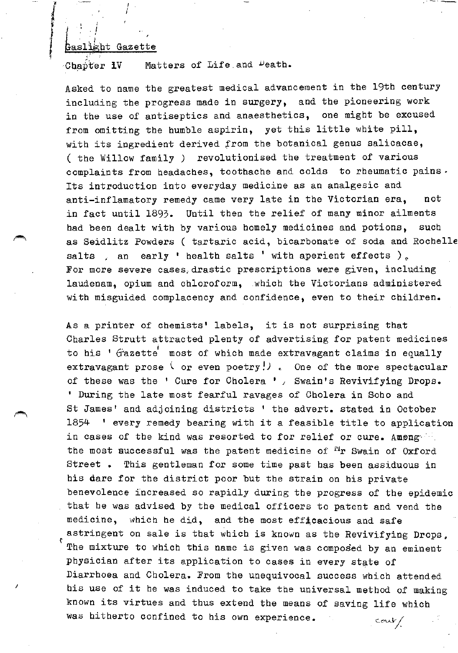## Gaslight Gazette

. : I . I I

I I I

*l*  i

*J*  t

Matters of Life and Death. Chapter **IV** 

Asked to name the greatest medical advancement in the 19th century including the progress made in surgery, and the pioneering work in the use of antiseptics and anaesthetics, one might be excused from omitting the humble aspirin, yet this little white pill, with its ingredient derived from the botanical genus salicacae, ( the Willow family *)* revolutionised the treatment of various complaints from headaches, toothache and colds to rheumatic pains. Its introduction into everyday medicine as an analgesic and anti-inflamatory remedy came very late in the Victorian era, not in fact until 1893. Until then the relief of many minor ailments had been dealt with by various homely medicines and potions, such as Seidlitz Powders ( tartaric acid, bicarbonate of soda and Rochelle salts an early 'health salts 'with aperient effects  $)$ . For more severe cases drastic prescriptions were given, including laudenam, opium and chloroform, which the Victorians administered with misguided complacency and confidence, even to their children.

As a printer of chemists' labels, it is not surprising that Charles Strutt attracted plenty of advertising for patent medicines to his ' Gazette' most of which made extravagant claims in equally extravagant prose  $\langle$  or even poetry!). One of the more spectacular of these was the ' Cure for Cholera ' , Swain's Revivifying Drops. ' During the late most fearful ravages of Cholera in Soho and St James' and adjoining districts ' the advert. stated in October 1854 1 every remedy bearing with it a feasible title to application in cases of the kind was resorted to for relief or cure. Among the most successful was the patent medicine of  $n_r$  Swain of Oxford Street. This gentleman for some time past has been assiduous in his dare for the district poor but the strain on his private benevolence increased so rapidly during the progress of the epidemic that be was advised by the medical officers to patent and vend the medicine, which he did, and the most efficacious and safe astringent on sale is that which is known as the Revivifying Drops. The mixture to which this name is given was composed by an eminent physician after its application to cases in every state of Diarrhoea and Cholera. From the unequivocal success which attended his use of it he was induced to take the universal method of making known its virtues and thus extend the means of saving life which was hitherto confined to his own experience.  $conv/$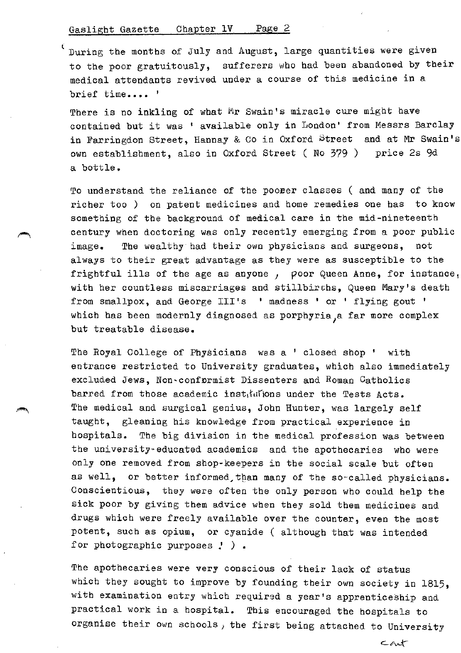$\epsilon$  During the months of July and August, large quantities were given to the poor gratuitously, sufferers who had been abandoned by their medical attendants revived under a course of this medicine in a brief time.... '

There is no inkling of what Mr Swain's miracle cure might have contained but it was • available only in London• from Messrs Barclay in Farringdon Street, Hannay & Co in Oxford Street and at Mr Swain's own establishment, also in OXford Street ( No 379 ) price 2s 9d a bottle.

To understand the reliance of the poorer classes ( and many of the richer too ) on patent medicines and home remedies one has to know something of the background of medical care in the mid-nineteenth century when doctoring was only recently emerging from a poor public image. The wealthy had their own physicians and surgeons, not always to their great advantage as they were as susceptible to the frightful ills of the age as anyone, poor Queen Anne, for instance. with her countless miscarriages and stillbirchs, Queen Mary's death from smallpox, and George III's ' madness ' or ' flying gout ' which has been modernly diagnosed as porphyria a far more complex but treatable disease.

The Royal College of Physicians was a ' closed shop ' with entrance restricted to University graduates, which also immediately excluded Jews, Non-conformist Dissenters and Roman Catholics barred from those academic instructions under the Tests Acts. The medical and surgical genius, John Hunter, was largely self taught, gleaning his knowledge from practical experience in hospitals. The big division in the medical profession was between the university-educated academics and the apothecaries who were only one removed from shop·keepers in the social scale but often as well, or better informed than many of the so-called physicians. Conscientious, they were often the only person who could help the sick poor by giving them advice when they sold them medicines and drugs which were freely available over the counter, even the most potent, such as opium, or cyanide ( although that was intended for photographic purposes  $!$  ).

The apothecaries were very conscious of their lack of status which they sought to improve by founding their own society in 1815, with examination entry which required a year's apprenticeship and practical work in a hospital. This encouraged the hospitals to organise their own schools, the first being attached to University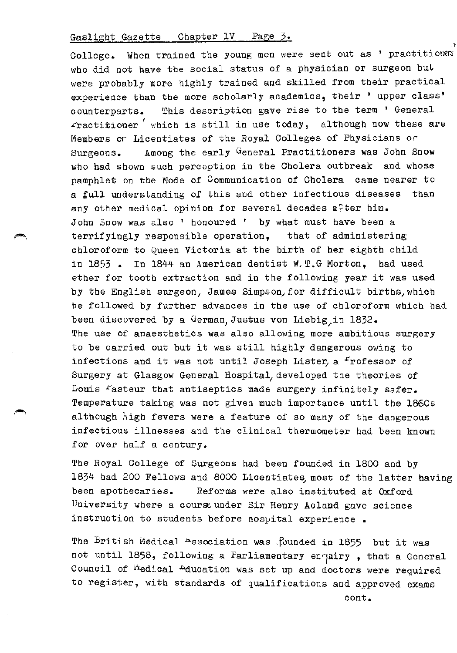College. When trained the young men were sent out as ' practitioners who did not have the social status of a physician or surgeon but were probably more highly trained and skilled from their practical experience than the more scholarly academics, their ' upper class' counterparts. This description gave rise to the term ' General Fractitioner which is still in use today, although now these are Members or Licentiates of the Royal Colleges of Physicians or Surgeons. Among the early General Practitioners was John Snow who had shown such perception in the Cholera outbreak and whose pamphlet on the Mode of Communication of Cholera came nearer to a tull understanding of this and other infectious diseases than any other medical opinion for several decades after him. John Snow was also ' honoured ' by what must have been a terrifyingly responsible operation, that of administering chloroform to Queen Victoria at the birth of her eighth child in 1853 • In 1844 an American dentist W.T.G Morton, bad used ether for tooth extraction and in the following year it was used by the English surgeon, James Simpson, for difficult births, which be followed by further advances in the use of chloroform which had been discovered by a German Justus von Liebig in 1832. The use of anaesthetics was also allowing more ambitious surgery to be carried out but it was still highly dangerous owing to infections and it was not until Joseph Lister, a "rofessor of Surgery at Glasgow General Hospital, developed the theories of Louis Fasteur that antiseptics made surgery infinitely safer. Temperature taking was not given much importance until the 1860s although  $h$ igh fevers were a feature of so many of the dangerous infectious illnesses and the clinical thermometer bad been known for over half a century.

The Royal College of Surgeons had been founded in 1800 and by 1834 had 200 Fellows and 8000 Licentiates, most of the latter having been apothecaries. Reforms were also instituted at Oxford University where a cours under Sir Henry Acland gave science instruction to students before hospital experience.

The British Medical Association was founded in 1855 but it was not until 1858, following a Parliamentary enquiry, that a General Council of <sup>M</sup>edical <sup>D</sup>ducation was set up and doctors were required to register, with standards of qualifications and approved exams

,)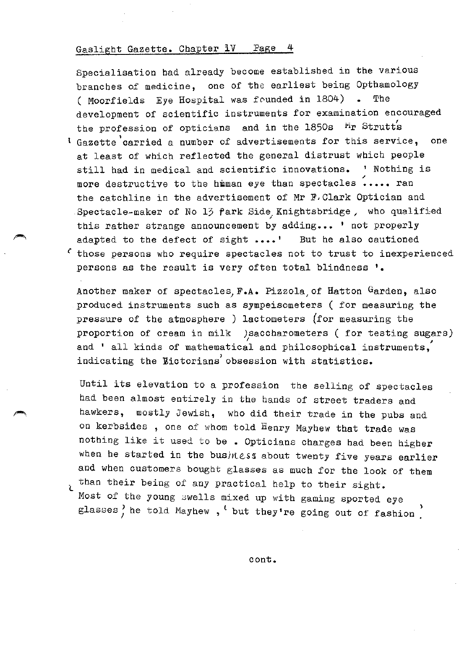Specialisation had already become established in the various branches of medicine, one of the earliest being Opthamology ( Moorfields Eye Hospital was founded in 1804) . The development of scientific instruments for examination encouraged the profession of opticians and in the 1850s Mr Strutt's <sup>t</sup>Gazette'carried a number of advertisements for this service, one at least of which reflected the general distrust which people still had in medical and scientific innovations. ' Nothing is<br>more destructive to the himan eye than spectacles ..... ran the catchline in the advertisement of Mr F,Clark Optician and Spectacle-maker of No 13 fark Side Knightsbridge, who qualified this rather strange announcement by adding... ' not properly adapted to the defect of sight •••• ' But he also cautioned

 $\zeta$  those persons who require spectacles not to trust to inexperienced persons as the result is very often total blindness '.

Another maker of spectacles, F.A. Pizzola of Hatton Garden, also produced instruments such as sympeisometers ( for measuring the pressure of the atmosphere ) lactometers (for measuring the proportion of cream in milk )saccharometers ( for testing sugars) and ' all kinds of mathematical and philosophical instruments, indicating the Eictorians) obsession with statistics.

Until its elevation to a profession the selling of spectacles had been almost entirely in the hands of street traders and hawkers, mostly Jewish, who did their trade in the pubs and on kerbsides , one of whom told Henry Mayhew that trade was nothing like it used to be • Opticians charges had been higher when he started in the business about twenty five years earlier and when customers bought glasses as much for the look of them than their being of any practical help to their sight.

Most of the young swells mixed up with gaming sported eye glasses) he told Mayhew,  $'$  but they're going out of fashion

cont.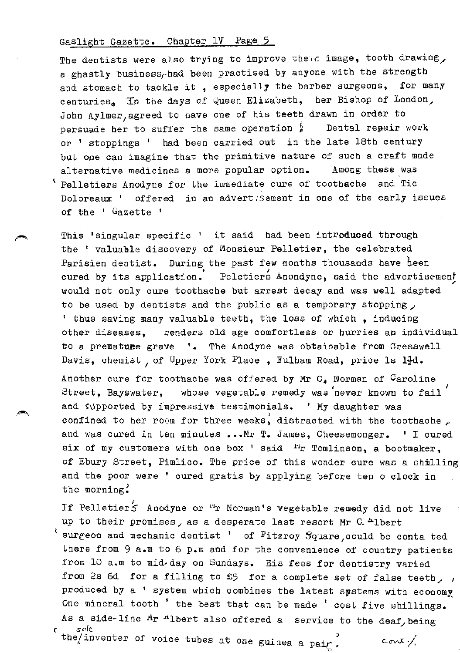The dentists were also trying to improve their image, tooth drawing, a ghastly business, had been practised by anyone with the strength and stomach to tackle it , especially the barber surgeons, for many centuries, In the days of Queen Elizabeth, her Bishop of London, John Aylmer, agreed to have one of his teeth drawn in order to persuade her to suffer the same operation  $\frac{h}{a}$  Dental repair work or ' stoppings ' had been carried out in the late 18th century but one can imagine that the primitive nature of such a craft made alternative medicines a more popular option. Among these was Pelletiers Anodyne for the immediate cure of toothache and Tic Doloreaux ' offered in an advert/Sement in one of the early issues of the ' Gazette '

This 'singular specific ' it said had been introduced through the ' valuable discovery of Monsieur Pelletier, the celebrated Parisien dentist. During the past few months thousands have been cured by its application. Peletiers Anondyne, said the advertisement would not only cure toothache but arrest decay and was well adapted to be used by dentists and the public as a temporary stopping, 1 thus saving many valuable teeth, the loss of which , inducing other diseases, renders old age comfortless or hurries an individual to a premature grave '. The Anodyne was obtainable from Cresswell Davis, chemist, of Upper York Place, Fulham Road, price ls 1<sup>1</sup>d. Another cure for toothache was offered by Mr C<sub>4</sub> Norman of <sup>C</sup>aroline Street, Bayswater, whose vegetable remedy was never known to fail and supported by impressive testimonials. ' My daughter was confined to her room for three weeks, distracted with the toothache, and was cured in ten minutes ... Mr T. James, Cheesemonger. ' I cured six of my customers with one box  $\cdot$  said  $\cdot$ "r Tomlinson, a bootmaker, of Ebury Street, Pimlico. The price of this wonder cure was a shilling and the poor were ' cured gratis by applying before ten o clock in the morning.

If Pelletier<sup>'</sup>S Anodyne or <sup>Fi</sup>r Norman's vegetable remedy did not live up to their promises, as a desperate last resort Mr C.<sup>4</sup>lbert  $'$  surgeon and mechanic dentist  $'$  of Fitzroy  $S$ quare, could be conta ted there from 9 a.m to 6 p.m and for the convenience of country patients from 10 a.m to mid-day on Sundays. His fees for dentistry varied from 2s 6d for a filling to £5 for a complete set of false teeth, ; produced by a ' system which combines the latest systems with economy One mineral tooth ' the best that can be made ' cost five shillings. As a side-line  $Mr$  <sup>n</sup>lbert also offered a service to the deaf, being sole r *so* le.

the inventer of voice tubes at one guinea a pair<sup>3</sup> cont;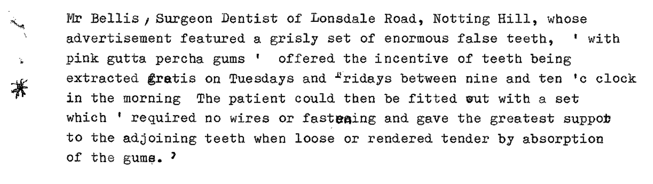Mr Bellis, Surgeon Dentist of Lonsdale Road, Notting Hill, whose advertisement featured a grisly set of enormous false teeth, 1 with pink gutta percha gums ' offered the incentive of teeth being extracted gratis on Tuesdays and  $r$ ridays between nine and ten 'c clock in the morning The patient could then be fitted wut with a set which  $'$  required no wires or fastesing and gave the greatest suppor to the adjoining teeth when loose or rendered tender by absorption of the gums.  $^2$ 

Horizont,

 $\mathbf{V}$ 

菁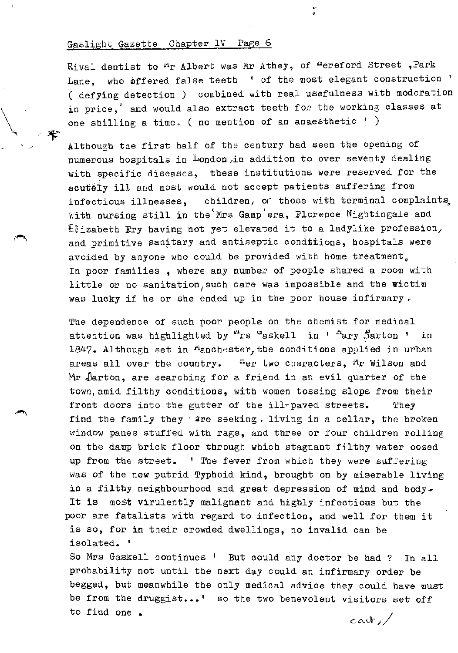$\mathbb{R}^d$  : and the contract of the contract of the contract of the contract of the contract of the contract of the contract of the contract of the contract of the contract of the contract of the contract of the contract

Rival dentist to <sup>m</sup>r Albert was Mr Athey, of <sup>h</sup>ereford Street, Park Lane, who offered false teeth ' of the most elegant construction ' ( defying detection *)* combined with real usefulness with moderation in price,' and would also extract teeth for the working classes at one shilling a time. ( no mention of an anaesthetic  $!$  )

•

Although the first half of the century had seen the opening of numerous hospitals in London)in addition to over seventy dealing with specific diseases, these institutions were reserved for the acutely ill and most would not accept patients suffering from infectious illnesses, children, of those with terminal complaints. With nursing still in the Mrs Gamp era, Florence Nightingale and  $E$ izabeth Ery having not yet elevated it to a ladylike profession, and primitive sanitary and antiseptic conditions, hospitals were avoided by anyone who could be provided with home treatment. In poor families , where any number of people shared a room with little or no sanitation, such care was impossible and the victim was lucky if he or she ended up in the poor house infirmary.

The dependence of such poor people on the chemist for medical attention was highlighted by "rs "askell in ' "ary Barton ' in 1847. Although set in  $^{\mu}$ anchester, the conditions applied in urban areas all over the country.  $\frac{H_{\text{cr}}}{H}$  two characters,  $M_T$  Wilson and Mr larton, are searching for a friend in an evil quarter of the town,amid filthy conditions, with women tossing slops from their front doors into the gutter of the ill-paved streets. They find the family they are seeking, living in a cellar, the broken window panes stuffed with rags, and three or four children rolling on the damp brick floor through which stagnant filthy water oozed up from the street. 1 The fever from which they were suffering was of the new putrid Typhoid kind, brought on by miserable living in a filthy neighbourhood and great depression of mind and body. It is most virulently malignant and highly infectious but the poor are fatalists with regard to infection, and well for them it is so, for in their crowded dwellings, no invalid can be isolated. '

So Mrs Gaskell continues ' But could any doctor be had ? In all probability not until the next day could an infirmary order be begged, but meanwhile the only medical advice they could have must be from the druggist...' so the two benevolent visitors set off to find one. *CC\.d--i)*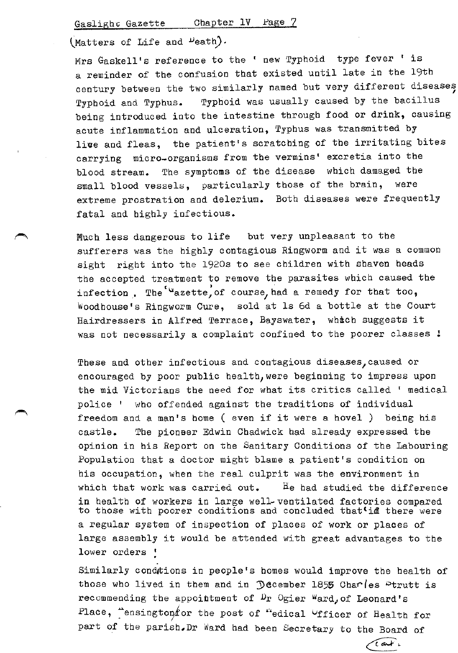$(Matters of Life and  $\nu$ eath).$ 

Mrs Gaskell's reference to the ' new Typhoid type fever ' is a reminder of the confusion that existed until late in the 19th century between the two similarly named but very different diseases Typhoid and Typhus. Typhoid was usually caused by the bacillus being introduced into the intestine through food or drink, causing acute inflammation and ulceration, Typhus was transmitted by live and fleas, the patient's scratching of the irritating bites carrying micro-organisms from the vermins' excretia into the blood stream. The symptoms of the disease which damaged the small blood vessels, particularly those of the brain, were extreme prostration and delerium. Both diseases were frequently fatal and highly infectious.

Much less dangerous to life but very unpleasant to the sufferers was the highly contagious Ringworm and it was a common sight right into the 1920s to see children with shaven heads the accepted treatment to remove the parasites which caused the infection. The  $u_{\text{azette}}$  of course, had a remedy for that too, Woodhouse's Ringworm Cure, sold at 1s 6d a bottle at the Court Hairdressers in Alfred Terrace, Bayswater, which suggests it was not necessarily a complaint confined to the poorer classes !

These and other infectious and contagious diseases, caused or encouraged by poor public health, were beginning to impress upon the mid Victorians the need for what its critics called ' medical police 1 who offended against the traditions of individual freedom and a man's home ( even if it were a hovel ) being his castle. The pioneer Edwin Chadwick had already expressed the opinion in his Report on the Sanitary Conditions of the Labouring Population that a doctor might blame a patient's condition on his occupation, when the real culprit was the environment in which that work was carried out.  $\qquad$   $\qquad$   $\qquad$   $\qquad$   $\qquad$   $\qquad$   $\qquad$   $\qquad$   $\qquad$   $\qquad$   $\qquad$   $\qquad$   $\qquad$   $\qquad$   $\qquad$   $\qquad$   $\qquad$   $\qquad$   $\qquad$   $\qquad$   $\qquad$   $\qquad$   $\qquad$   $\qquad$   $\qquad$   $\qquad$   $\qquad$   $\qquad$   $\qquad$   $\qquad$   $\qquad$   $\$ in health of workers in large well- ventilated factories compared to those with poorer conditions and concluded that in there were a regular system of inspection of places of work or places of large assembly it would be attended with great advantages to the lower orders !

Similarly condtions in people's homes would improve the health of those who lived in them and in  $\mathcal D$  acember 1855 Cha $\mathcal C$ les  $\mathcal D$ trutt is recommending the appointment of  $\mathbb{D}_r$  Ogier Ward, of Leonard's Place, "ensington for the post of "edical Ufficer of Health for part of the parish. Dr Ward had been Secretary to the Board of

> Cart. er-~=-~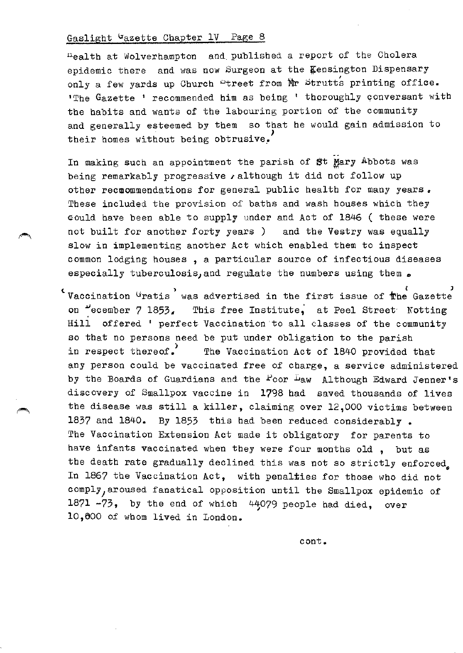tiealth at Wolverhampton and. published a report of the Cholera epidemic there and was now Surgeon at the Kensington Dispensary only a few yards up Church "treet from Mr Strutts printing office. 'The Gazette 1 recommended him as being ' thoroughly QOnversant with the habits and wants of the labouring portion of the community and generally esteemed by them so that he would gain admission to their homes without being obtrusive.

In making such an appointment the parish of St Mary Abbots was being remarkably progressive  $\lambda$  although it did not follow up other recmommendations for general public health for many years. These included the provision of baths and wash houses which they eould have been able to supply under and Act of 1846 ( these were not built for another forty years ) and the Vestry was equally slow in implementing another Act which enabled them to inspect common lodging houses , a particular source of infectious diseases especially tuberculosis, and regulate the numbers using them  $\bullet$ 

 $\epsilon$  Vaccination <sup>G</sup>ratis  $\,$  was advertised in the first issue of  $\,$  the Gazette on  $\frac{1}{2}$  ecember 7 1853. This free Institute, at Peel Street Notting Hill offered 'perfect Vaccination·to all classes of the community so that no persons need be put under obligation to the parish in respect thereof. The Vaccination Act of 1840 provided that any person could be vaccinated free of charge, a service administered by the Boards of Guardians and the  $\angle$ oor  $\angle$ iaw Although Edward Jenner's discovery of Smallpox vaccine in 1798 had saved thousands of lives the disease was still a killer, claiming over 12,000 victims between 1837 and 1840. By 1853 this had been reduced considerably. The Vaccination Extension Act made it obligatory for parents to have infants vaccinated when they were four months old , but as the death rate gradually declined this was not so strictly enforced. In 1867 the Vaccination Act, with penalties for those who did not comply, aroused fanatical opposition until the Smallpox epidemic of 1871  $-73$ , by the end of which 44079 people had died, over 10,600 of whom lived in London.

cont.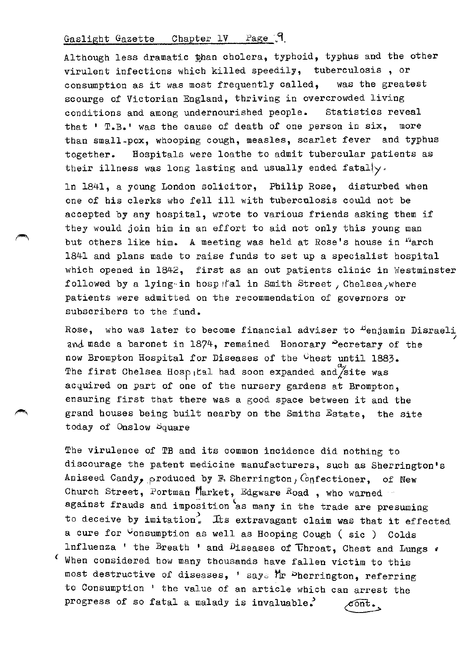Although less dramatic than cholera, typhoid, typhus and the other virulent infections which killed speedily, tuberculosis , or consumption as it was most frequently called, was the greatest scourge of Victorian England, thriving in overcrowded living conditions and among undernourished people. Statistics reveal that ' T.B.' was the cause of death of one person in six, more than small-pox, whooping cough, measles, scarlet fever and typhus together. Hospitals were loathe to admit tubercular patients as their illness was long lasting and usually ended fatally.

In 1841, a young London solicitor, Philip Rose, disturbed when one of his clerks who fell ill with tuberculosis could not be accepted by any hospital, wrote to various friends asking them if they would join him in an effort to aid not only this young man but others like him. A meeting was held at Rose's house in "arch 1841 and plans made to raise funds to set up a specialist hospital which opened in 1842, first as an out patients clinic in Westminster followed by a lying in hosp tal in Smith Street, Chelsea, where patients were admitted on the recommendation of governors or subscribers to the fund.

Rose, who was later to become financial adviser to <sup>B</sup>enjamin Disraeli / and made a baronet in 1874, remained Honorary Pecretary of the now Brompton Hospital for Diseases of the <sup>O</sup>hest until 1883. The first Chelsea Hosp, tal had soon expanded and site was acquired on part of one of the nursery gardens at Brompton, ensuring first that there was a good space between it and the grand houses being built nearby on the Smiths Estate, the site today of Onslow Square

The virulence of TB and its common incidence did nothing to discourage the patent medicine manufacturers, such as Sherrington's Aniseed Candy, produced by F. Sherrington, Confectioner, of New Church Street, Portman Market, Edgware Road, who warned against frauds and imposition as many in the trade are presuming to deceive by imitation. Its extravagant claim was that it effected a cure for vonsumption as well as Hooping Cough ( sic ) Colds Influenza ' the Breath ' and Diseases of Throat, Chest and Lungs  $\cdot$  $\mathfrak c$  When considered how many thousands have fallen victim to this most destructive of diseases, ' says Mr Dherrington, referring to Consumption ' the value of an article which can arrest the progress of so fatal a malady is invaluable.  $\mathscr{E}\overline{\mathsf{ont}}$  .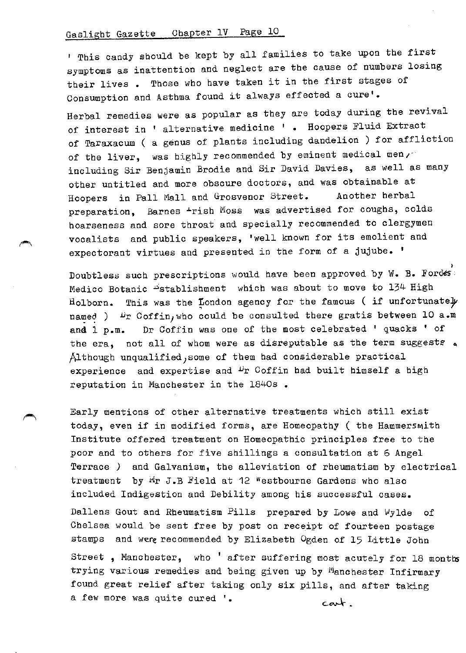1 This candy should be kept by all families to take upon the first symptoms as inattention and neglect are the cause of numbers losing their lives • Those who have taken it in the first stages of Consumption and Asthma found it always effected a cure'.

Herbal remedies were as popular as they are today during the revival of interest in ' alternative medicine ' . Hoopers Fluid Extract of Taraxacum ( a genus of plants including dandelion ) for affliction of the liver, was highly recommended by eminent medical men $1$ . including Sir Benjamin Brodie and Sir David Davies, as well as many other untitled and more obscure doctors, and was obtainable at Hoopers in Pall Mall and Grosvenor Street. Another herbal preparation, Barnes +rish Moss was advertised for coughs, colds hoarseness and sore throat and specially recommended to clergymen vocalists and public speakers, 'well known for its emolient and expectorant virtues and presented in the form of a jujube. '

poubtless such prescriptions would have been approved by W. B. Fordes: Medico Botanic "stablishment which was about to move to 134 High Holborn. This was the London agency for the famous (if unfortunately named )  $\mathcal{P}_r$  Coffin, who could be consulted there gratis between 10 a.m and 1 p.m. Dr Coffin was one of the most celebrated ' quacks ' of the era, not all of whom were as disreputable as the term suggests  $\triangleleft$ Although unqualified,some of them had considerable practical experience and expertise and <sup>D</sup>r Coffin had built himself a high reputation in Manchester in the 1840s •

Early mentions of other alternative treatments which still exist today, even if in modified forms, are Homeopathy ( the Hammersmith Institute offered treatment on Homeopathic principles free to the poor and to others for five shillings a consultation at 6 Angel Terrace *)* and Galvanism, the alleviation of rheumatism by electrical treatment by  $\mathbb{F}_T$  J.B Field at 12 Westbourne Gardens who also included Indigestion and Debility among his successful cases.

Dallens Gout and Rheumatism Pills prepared by Lowe and  $\forall$ ylde of Chelsea would be sent free by post on receipt of fourteen postage stamps and were recommended by Elizabeth Ogden of 15 Little John

Street, Manchester, who  $'$  after suffering most acutely for 18 months trying various remedies and being given up by Manchester Infirmary found great relief after taking only six pills, and after taking a few more was quite cured '. cart.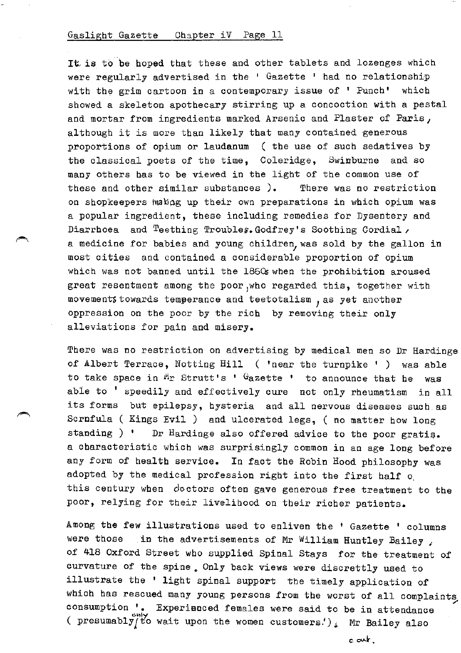It is to be hoped that these and other tablets and lozenges which were regularly advertised in the  $1$  Gazette  $1$  had no relationship with the grim cartoon in a contemporary issue of ' Punch' which showed a skeleton apothecary stirring up a concoction with a pestal and mortar from ingredients marked Arsenic and Plaster of Paris, although it is more than likely that many contained generous proportions of opium or laudanum ( the use of such sedatives by the classical poets of the time, Coleridge, Swinburne and so many others has to be viewed in the light of the common use of these and other similar substances ). There was no restriction on shopkeepers wakeg up their own preparations in which opium was a popular ingredient, these including remedies for Dysentery and Diarrhoea and Teething Troubles. Godfrey's Soothing Cordial, a medicine for babies and young children, was sold by the gallon in most cities and contained a considerable proportion of opium which was not banned until the 1860s when the prohibition aroused great resentment among the poor,who regarded this, together with movements towards temperance and teetotalism, as yet another oppression on the poor by the rich by removing their only alleviations for pain and misery.

There was no restriction on advertising by medical men so Dr Hardinge of Albert Terrace, Notting Hill ( 'near the turnpike ' ) was able to take space in  $M_T$  Strutt's ' Gazette ' to announce that he was ab1e to ' speedily and effectively cure not only rheumatism in all its forms but epilepsy, hysteria and all nervous diseases such as Scrnfula ( Kings Evil ) and ulcerated legs, ( no matter how long standing ) ' Dr Hardinge also offered advice to the poor gratis. a characteristic which was surprisingly common in an age long before any form of health service. In fact the Robin Hood philosophy was adopted by the medical profession right into the first half o, this century when doctors often gave generous free treatment to the poor, relying for their livelihood on their richer patients.

Among the few illustrations used to enliven the ' Gazette ' columns were those in the advertisements of Mr William Huntley Bailey *<sup>1</sup>* of 418 Oxford Street who supplied Spinal Stays for the treatment of curvature of the spine. Only back views were discrettly used to illustrate the ' light spinal support the timely application of which has rescued many young persons from the worst of all complaints consumption '. Experienced females were said to be in attendance ( presumably  $\frac{1}{2}$  to wait upon the women customers.<sup>*'*</sup>)<sub>\*</sub> Mr Bailey also

c ant.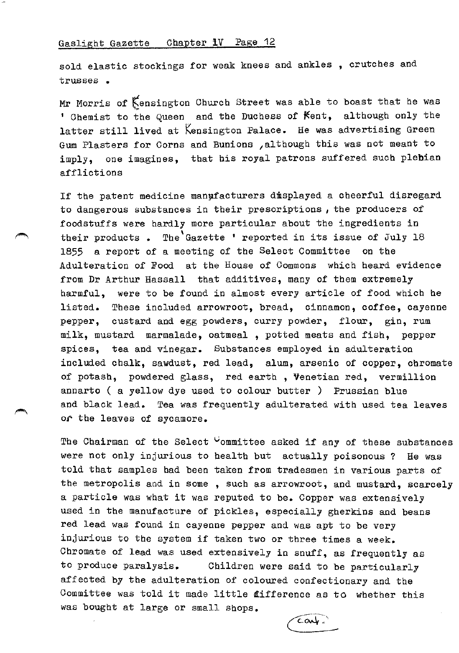sold elastic stockings for weak knees and ankles , crutches and trusses •

Mr Morris of Kensington Church Street was able to boast that he was ' Chemist to the Queen and the Duchess of Kent, although only the latter still lived at Kensington Palace. He was advertising Green Gum Plasters for Corns and Bunions , although this was not meant to imply, one imagines, that his royal patrons suffered such plebian afflictions

If the patent medicine manufacturers displayed a cheerful disregard to dangerous substances in their prescriptions *,* the producers of foodstuffs were hardly more particular about the ingredients in their products • The'Gazette ' reported in its issue of July 18 1855 a report of a meeting of the Select Committee on the Adulteration of Food at the House of Commons which heard evidence from Dr Arthur Hassall that additives, many of them extremely harmful, were to be found in almost every article of food which he listed. These included arrowroot, bread, cinnamon, coffee, cayenne pepper, custard and egg powders, curry powder, flour, gin, rum milk, mustard marmalade, oatmeal , potted meats and fish, pepper spices, tea and vinegar. Substances employed in adulteration included chalk, sawdust, red lead, alum, arsenic of copper, chromate of potash, powdered glass, red earth , Venetian red, vermillion annarto ( a yellow dye used to colour butter ) Prussian blue and black lead. Tea was frequently adulterated with used tea leaves or the leaves of sycamore.

The Chairman of the Select  $\mathcal{C}_{\text{domitive}}$  asked if any of these substances were not only injurious to health but actually poisonous ? He was told that samples had been taken from tradesmen in various parts of the metropolis and in some , such as arrowroot, and mustard, scarcely a particle was what it was reputed to be. Copper was extensively used in the manufacture of pickles, especially gherkins and beans red lead was found in cayenne pepper and was apt to be very injurious to the system if taken two or three times a week. Chromate of lead was used extensively in snuff, as frequently as to produce paralysis. Children were said to be particularly affected by the adulteration of coloured confectionary and the Committee was told it made little difference as to whether this was bought at large or small shops. ence as to whethe<br> $\overline{\left(\overline{c} \alpha \psi\right)}$ 

 $\epsilon$ art.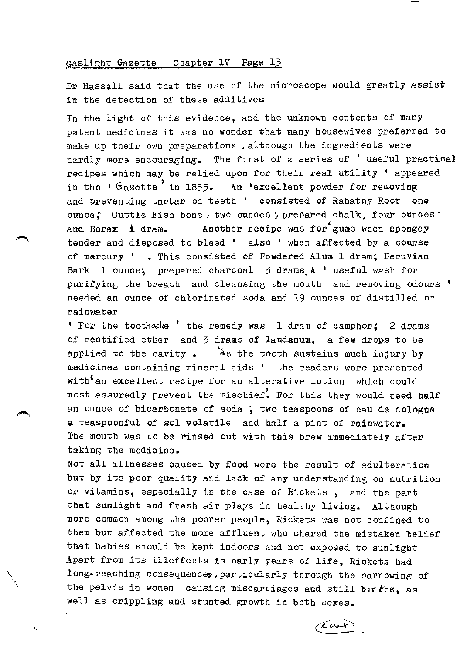Dr Hassall said that the use of the microscope would greatly assist in the detection of these additives

In the light of this evidence, and the unknown contents of many patent medicines it was no wonder that many housewives preferred to make up their own preparations ,although the ingredients were hardly more encouraging. The first of a series of ' useful practical recipes which may be relied upon for their real utility ' appeared in the 'Gazette' in 1855. An 'excellent powder for removing and preventing tartar on teeth ' consisted of Rahatny Root one ounce; Cuttle Fish bone, two ounces; prepared chalk, four ounces' and Borax **i** dram. Another recipe was for gums when spongey tender and disposed to bleed ' also ' when affected by a course of mercury ' • This consisted of Powdered Alum 1 dram; Peruvian Bark 1 ounce; prepared charcoal 3 drams.A ' useful wash for purifying the breath and cleansing the mouth and removing odours ' needed an ounce of chlorinated soda and 19 ounces of distilled or rainwater

' For the toothoche ' the remedy was 1 dram of camphor; 2 drams of rectified ether and 3 drams of laudanum, a few drops to be applied to the cavity.  $A$ s the tooth sustains much injury by medicines containing mineral aids 1 the readers were presented with'an excellent recipe for an alterative lotion which could most assuredly prevent the mischief. For this they would need half an ounce of bicarbonate of soda ; two teaspoons of eau de cologne a teaspoonful of sol volatile and half a pint of rainwater. The mouth was to be rinsed out with this brew immediately after taking the medicine.

Not all illnesses caused by food were the result of adulteration but by its poor quality and lack of any understanding on nutrition or vitamins, especially in the case of Rickets , and the part that sunlight and fresh air plays in healthy living. Although more common among the poorer people, Rickets was not confined to them but affected the more affluent who shared the mistaken belief that babies should be kept indoors and not exposed to sunlight Apart from its illeffects in early years of life, Rickets had long~reaching consequences,particularly through the narrowing of the pelvis in women causing miscarriages and still  $b$ +r $b$ hs, as well as crippling and stunted growth in both sexes.

'\ •.

 $\overline{\mathfrak{c}}$ aut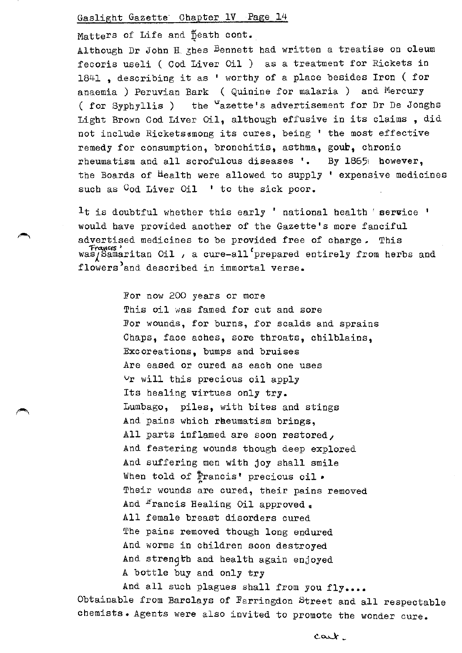Matters of Life and peath cont.

Although Dr John H. shes Bennett had written a treatise on oleum fecoris useli ( Cod Liver Oil ) as a treatment for Rickets in 1841 , describing it as ' worthy of a place besides Iron ( for anaemia ) Peruvian Bark ( Quinine for malaria ) and Mercury ( for Syphyllis ) the  $u$ azette's advertisement for Dr De Jonghs Light Brown Cod Liver Oil, although effusive in its claims , did not include Rickets«mong its cures, being ' the most effective remedy for consumption, bronchitis, asthma, gour, chronic rheumatism and all scrofulous diseases '. By 1865 however, the Boards of Health were allowed to supply ' expensive medicines such as <sup>C</sup>od Liver Oil ' to the sick poor.

It is doubtful whether this early ' national health ' service ' would have provided another of the Gazette's more fanciful advertised medicines to be provided free of charge. This Francis' Canaritan Oil , a cure-all prepared entirely from herbs and flowers<sup>'</sup>and described in immortal verse.

> For now 200 years or more This oil was famed for cut and sore For wounds, for burns, for scalds and sprains Chaps, face aches, sore throats, chilblains, Excoreations, bumps and bruises Are eased or cured as each one uses vr will this precious oil apply Its healing virtues only try. Lumbago, piles, with bites and stings And pains which reeumatism brings, All parts inflamed are soon restored, And festering wounds though deep explored And suffering men with joy shall smile<br>When told of Francis' precious oil • Their wounds are cured, their pains removed And *<sup>r</sup>rancis Healing Oil approved*  $_{*}$ All female breast disorders cured The pains removed though long endured And worms in children soon destroyed And strength and health again enjoyed A bottle buy and only try

And all such plagues shall from you fly.... Obtainable from Barclays of Farringdon Street and all respectable chemists. Agents were also invited to promote the wonder cure.

cart.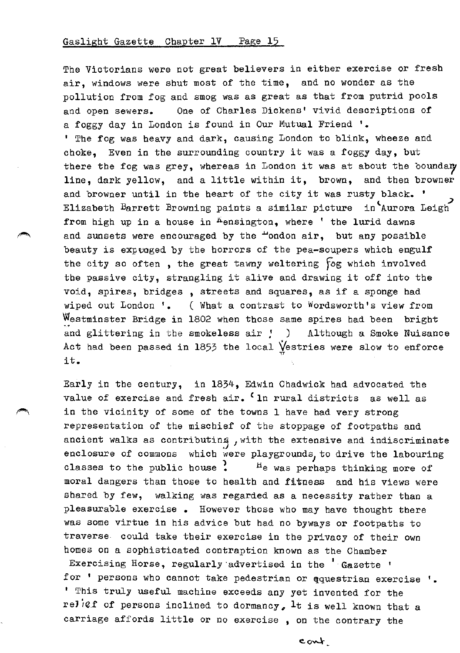The Victorians were not great believers in either exercise or fresh air, windows were shut most of the time, and no wonder as the pollution from fog and smog was as great as that from putrid pools and open sewers. One of Charles Dickens' vivid descriptions of a foggy day in London is found in Our Mutual Friend 1 • ' The fog was heavy and dark, causing London to blink, wheeze and choke, Even in the surrounding country it was a foggy day, but there the fog was grey, whereas in London it was at about the boundary line, dark yellow, and a little within it, brown, and then browner and browner until in the heart of the city it was rusty black. ' Elizabeth Barrett Browning paints a similar picture in Aurora Leigh from high up in a house in Aensington, where ' the lurid dawns and sunsets were encouraged by the  $+$ ondon air, but any possible beauty is expvoged by the horrors of the pea-soupers which engulf the city so often , the great tawny weltering fog which involved the passive city, strangling it alive and drawing it off into the void, spires, bridges , streets and squares, as if a sponge had wiped out London '. ( What a contrast to Wordsworth's view from Westminster Bridge in 1802 when those same spires had been bright and glittering in the smokeless air *:* ) Although a Smoke Nuisance Act had been passed in 1853 the local  $\bigvee\limits_{v}$  estries were slow to enforce it.

Early in the century, in 1834, Edwin Chadwick had advocated the value of exercise and fresh air. <sup>C</sup>ln rural districts as well as in the vicinity of some of the towns I have had very strong representation of the mischief of the stoppage of footpaths and ancient walks as contributing, with the extensive and indiscriminate enclosure of commons which were playgrounds, to drive the labouring classes to the public house  $\cdot$  the was perhaps thinking more of moral dangers than those to health and fitness and his views were shared by few, walking was regarded as a necessity rather than a pleasurable exercise • However those who may have thought there was some virtue in his advice but had no byways or footpaths to traverse could take their exercise in the privacy of their own homes on a sophisticated contraption known as the Chamber

Exercising Horse, regularly advertised in the 'Gazette ' for ' persons who cannot take pedestrian or qquestrian exercise '. <sup>1</sup>This truly useful machine exceeds any yet invented for the reJief of persons inclined to dormancy, It is well known that a carriage affords little or no exercise , on the contrary the

cont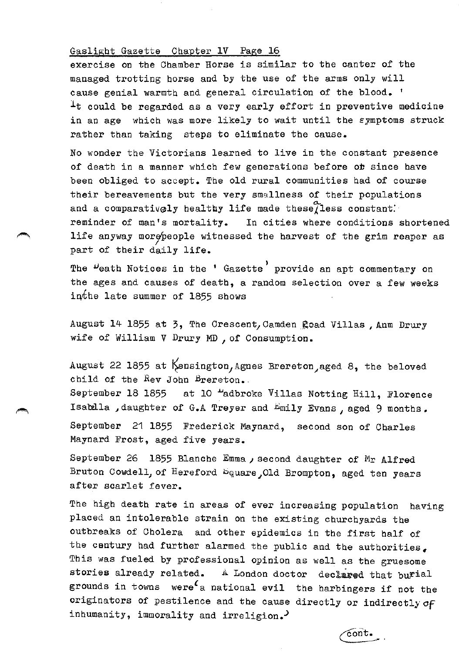exercise on the Chamber Horse is similar to the canter of the managed trotting horse and by the use of the arms only will cause genial warmth and general circulation of the blood. '  $\perp$ t could be regarded as a very early effort in preventive medicine in an age which was more likely to wait until the symptoms struck rather than taking steps to eliminate the cause.

No wonder the Victorians learned to live in the constant presence of death in a manner which few generations before ob since have been obliged to accept. The old rural communities had of course their bereavements but the very smallness of their populations and a comparatively healthy life made these $\widetilde{\chi}$ less constant: reminder of man's mortality. In cities where conditions shortened life anyway morepeople witnessed the harvest of the grim reaper as part of their daily life.

The <sup>D</sup>eath Notices in the ' Gazette' provide an apt commentary on the ages and causes of death, a random selection over a few weeks inthe late summer of  $1855$  shows

August 14 1855 at 3, The Crescent, Camden goad Villas, Anm Drury wife of William V Drury MD *1* of Consumption.

August 22 1855 at  $\beta$ ensington, Agnes Brereton, aged 8, the beloved child of the Rev John Brereton. September 18 1855 at 10 "adbroke Villas Notting Hill, Florence Isablla , daughter of G.A Treyer and  $E$ mily Evans, aged 9 months. September 21 1855 Frederick Maynard, second son of Charles Maynard Frost, aged five years.

September 26 1855 Blanche Emma, second daughter of Mr Alfred Bruton Cowdell, of Hereford bquare Old Brompton, aged ten years after scarlet fever.

The high death rate in areas of ever increasing population having placed an intolerable strain on the existing churchyards the outbreaks of Cholera and other epidemics in the first half of the century had further alarmed the public and the authorities, This was fueled by professional opinion as well as the gruesome stories already related. A London doctor declared that burial grounds in towns were<sup> $c$ </sup>a national evil the harbingers if not the originators of pestilence and the cause directly or indirectlyof inhumanity, immorality and irreligion.

cont.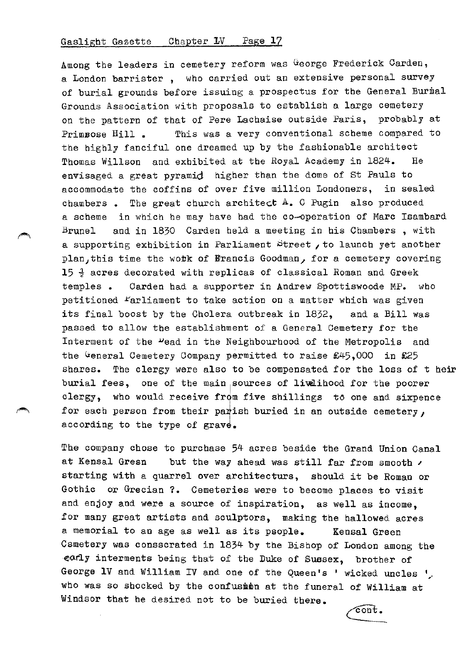Among the leaders in cemetery reform was George Frederick Carden, a London barrister , who carried out an extensive personal survey of burial grounds before issuing a prospectus for the General Burmal Grounds Association with proposals to establish a large cemetery on the pattern of that of Pere Lachaise outside Paris, probably at Primsose Hill . This was a very conventional scheme compared to the highly fanciful one dreamed up by the fashionable architect Thomas Willson and exhibited at the Royal Academy in 1824. He envisaged a great pyramid higher than the dome of St Pauls to accommodate the coffins of over five million Londoners, in sealed chambers. The great church architect  $A$ . C Pugin also produced a scheme in which he may have had the co-operation of Marc Isambard Brunel and in 1830 Garden held a meeting in his Chambers , with a supporting exhibition in Parliament Street *1* to launch yet another plan, this time the wotk of Francis Goodman, for a cemetery covering 15 *i* acres decorated with replicas of classical Roman and Greek temples • Garden had a supporter in Andrew Spottiswoode MP. who petitioned  $F$ arliament to take action on a matter which was given its final boost by the Cholera outbreak in 1832, and a Bill was passed to allow the establishment of a General Cemetery for the Interment of the "ead in the Neighbourhood of the Metropolis and the General Cemetery Company permitted to raise  $£45,000$  in £25 shares. The clergy were also to be compensated for the loss of t heir burial fees, one of the main sources of livelihood for the poorer clergy, who would receive from five shillings to one and sixpence for each person from their parish buried in an outside cemetery, according to the type of grave.

The company chose to purchase 54 acres beside the Grand Union Canal at Kensal Gresn but the way ahead was still far from smooth  $\prime$ starting with a quarrel over architecture, should it be Roman or Gothic or Grecian ?. Cemeteries were to become places to visit and enjoy and were a source of inspiration, as well as income, for many great artists and sculptors, making the hallowed acres a memorial to an age as well as its people. Kensal Green Csmetery was consscrated in 1834 by the Bishop of London among the early interments being that of the Duke of Sussex, brother of George 1V and William IV and one of the Queen's ' wicked uncles ', who was so shocked by the confusion at the funeral of William at Windsor that he desired not to be buried there.

 $\overline{\text{cont}}$ .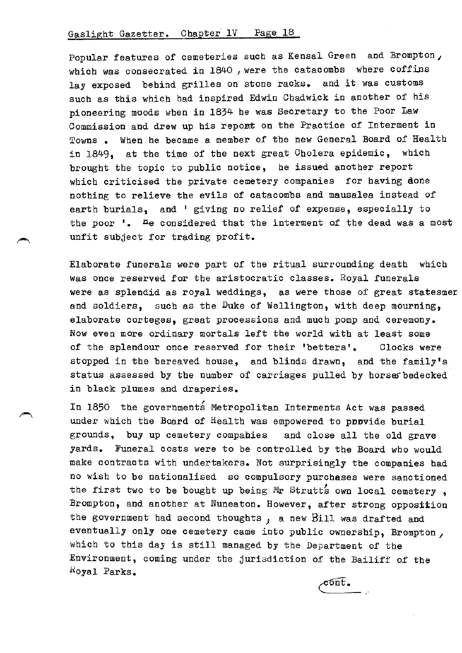Popular features of cemeteries such as Kensal Green and Brompton, which was consecrated in 1840, were the catacombs where coffins lay exposed behind grilles on stone racks. and it was customs such as this which had inspired Edwin Chadwick in another of his pioneering moods when in 1834 he was Secretary to the Poor Law Commission and drew up his report on the Practice of Interment in Towns • When he became a member of the new General Board of Health in 1849, at the time of the next great Cholera epidemic, which brought the topic to public notice, he issued another report which criticised the private cemetery companies for having done nothing to relieve the evils of catacombs and mausalea instead of earth burials, and ' giving no relief of expense, especially to the poor  $\cdot$ . He considered that the interment of the dead was a most unfit subject for trading profit.

Elaborate funerals were part of the ritual surrounding death which was once reserved for the aristocratic classes. Royal funerals were as splendid as royal weddings, as were those of great statesmen and soldiers, such as the Duke of Wellington, with deep mourning, elaborate corteges, great processions and much pomp and ceremony. Now even more ordinary mortals left the world with at least some of the splendour once reserved for their 'betters'. Clocks were stopped in the bereaved house, and blinds drawn, and the family's status assessed by the number of carriages pulled by horserbedecked in black plumes and draperies.

In 1850 the governments Metropolitan Interments Act was passed under which the Board of Health was empowered to poovide burial grounds, buy up cemetery compahies and close all the old grave yards. Funeral costs were to be controlled by the Board who would make contracts with undertakers. Not surprisingly the companies had no wish to be nationalised so compulsory purchases were sanctioned the first two to be bought up being Mr Strutts own local cemetery, Brompton, and another at Nuneaton. However, after strong opposition the government had second thoughts ; a new Bill was drafted and eventually only one cemetery came into public ownership, Brompton, which to this day is still managed by the Department of the Environment, coming under the jurisdiction of the Bailiff of the lioyal Parks.  $c$ ont.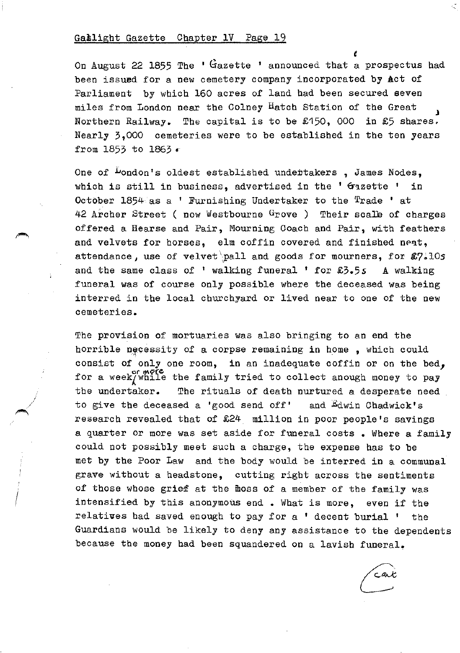I i

*e*  On August 22 1855 The ' Gazette ' announced that a prospectus had been issued for a new cemetery company incorporated by Act of Parliament by which 160 acres of land had been secured seven miles from London near the Colney Hatch Station of the Great Northern Railway. The capital is to be  $£150$ , 000 in £5 shares. Nearly 3,000 cemeteries were to be established in the ten years from 1853 to 1863 \*

One of  $L$ ondon's oldest established undertakers, James Nodes, which is still in business, advertised in the ' Gazette ' in October  $1854$  as a ' Furnishing Undertaker to the Trade ' at 42 Archer Street ( now Westbourne Grove ) Their scale of charges offered a Hearse and Pair, Mourning Coach and Pair, with feathers and velvets for horses, elm coffin covered and finished neat, attendance, use of velvet pall and goods for mourners, for  $\mathcal{L}7.105$ and the same class of ' walking funeral ' for  $5.55s$  A walking funeral was of course only possible where the deceased was being interred in the local churchyard or lived near to one of the new cemeteries.

The provision of mortuaries was also bringing to an end the horrible necessity of a corpse remaining in home , which could consist of only one room, in an inadequate coffin or on the bed, for a week/while the family tried to collect anough money to pay the undertaker. The rituals of death nurtured a desperate need to give the deceased a 'good send off' and Edwin Chadwick's research revealed that of £24 million in poor people's savings a quarter or more was set aside for funeral costs • Where a family could not possibly meet such a charge, the expense has to be met by the Poor Law and the body would be interred *in* a communal grave without a headstone, cutting right across the sentiments of those whose grief at the moss of a member of the family was intensified by this anonymous end • What *is* more, even *if* the relatives had saved enough to pay for a ' decent burial • the Guardians would be likely to deny any assistance to the dependents because the money had been squandered on a lavish funeral.

cax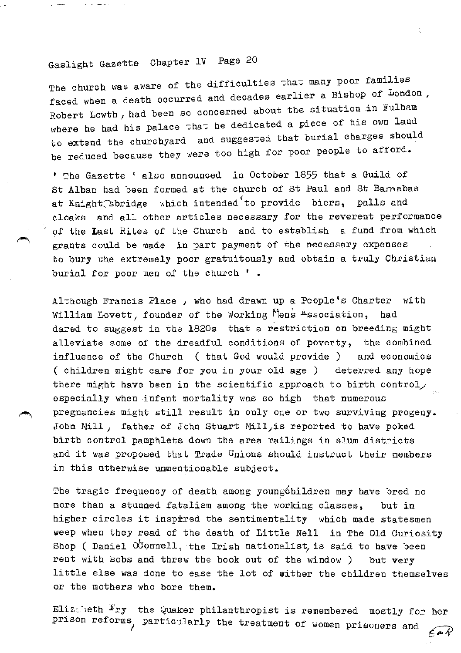The church was aware of the difficulties that many poor families faced when a death occurred and decades earlier a Bishop of London, Robert Lowth, had been so concerned about the situation in Fulham where he had his palace that he dedicated a piece of his own land to extend the churchyard. and suggested that burial charges should be reduced because they were too high for poor people to afford.

1 The Gazette 1 also announced in October 1855 that a Guild of St Alban had been formed at the church of St Paul and St Barnabas at Knight<sup>3</sup>sbridge which intended<sup>(to provide biers, palls and</sup> cloaks and all other articles necessary for the reverent performance of the Last Rites of the Church and to establish a fund from which grants could be made in part payment of the necessary expenses to bury the extremely poor gratuitously and obtain a truly Christian burial for poor men of the church ' •

Although Francis Place, who had drawn up a People's Charter with William Lovett, founder of the Working Mens Association, had dared to suggest in the 1820s that a restriction on breeding might alleviate some of the dreadful conditions of poverty, the combined influence of the Church ( that God would provide ) and economics ( children might care for you in your old age ) deterred any hope there might have been in the scientific approach to birth control, especially when infant mortality was so high that numerous pregnancies might still result in only one or two surviving progeny. John Mill, father of John Stuart Mill, is reported to have poked birth control pamphlets down the area railings in slum districts and it was proposed that Trade Unions should instruct their members in this otherwise unmentionable subject.

The tragic frequency of death among young children may have bred no more than a stunned fatalism among the working classes, but in higher circles it inspired the sentimentality which made statesmen weep when they read of the death of Little Nell in The Old Curiosity Shop ( Daniel OC onnell, the Irish nationalist, is said to have been rent with sobs and threw the book out of the window ) but very little else was done to ease the lot of wither the children themselves or the mothers who bore them.

Eliz:.: eth  $\mathbb{F}_{ry}$  the Quaker philanthropist is remembered mostly for her prison reforms, particularly the treatment of women prisoners and  $\epsilon$  and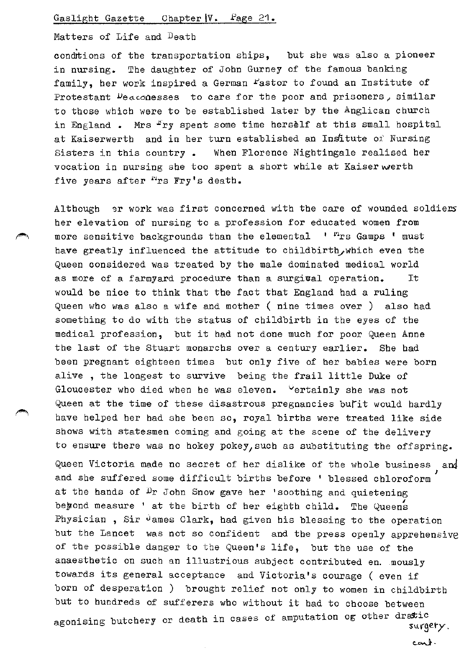## Matters of Life and Death .<br>.<br>.

condrtions of the transportation ships, but she was also a pioneer in nursing. The daughter of John Gurney of the famous banking family, her work inspired a German fastor to found an Institute of Protestant  $\nu$ e $\alpha$ conesses to care for the poor and prisoners, similar to those which were to be established later by the Anglican church in England . Mrs  $F$ ry spent some time herself at this small hospital at Kaiserwerth and in her turn established an Insitute of Nursing Sisters in this country • When Florence Nightingale realised her vocation in nursing she too spent a short while at Kaiser werth five years after "rs Fry's death.

Although or work was first concerned with the care of wounded soldiers her elevation of nursing to a profession for educated women from more sensitive backgrounds than the elemental  $\cdot$  <sup>ri</sup>rs Gamps  $\cdot$  must have greatly influenced the attitude to childbirth, which even the Queen considered was treated by the male dominated medical world as more of a farmyard procedure than a surgival operation. It would be nice to think that the fact that England had a ruling Queen who was also a wife and mother ( nine times over ) also had something to do with the status of childbirth in the eyes of the medical profession, but it had not done much for poor Queen Anne the last of the Stuart monarchs over a century earlier. She had been pregnant eighteen times but only five of her babies were born alive , the longest to survive being the frail little Duke of Gloucester who died when he was eleven. Vertainly she was not Queen at the time of these disastrous pregnancies bulit would hardly have helped her had she been so, royal births were treated like side shows with statesmen coming and going at the scene of the delivery to ensure there was no hokey pokey, such as substituting the offspring. Queen Victoria made no secret of her dislike of the whole business and and she suffered some difficult births before ' blessed chloroform at the hands of  $D_r$  John Snow gave her 'soothing and quietening beyond measure ' at the birth of her eighth child. The Queens Physician,  $Sir$  vames Clark, had given his blessing to the operation but the Lancet was not so confident and the press openly apprehensive of the possible danger to the Queen's life, but the use of the anaesthetic on such an illustrious subject contributed en. mously towards its general acceptance and Victoria's courage ( even if born of desperation ) brought relief not only to women in childbirth but to hundreds of sufferers who without it had to choose between agonising butchery or death in cases of amputation og other dratic y or death in cabob  $\sigma_x$  and  $\sigma_y$  is  $\sigma_y$  surgery.

cart.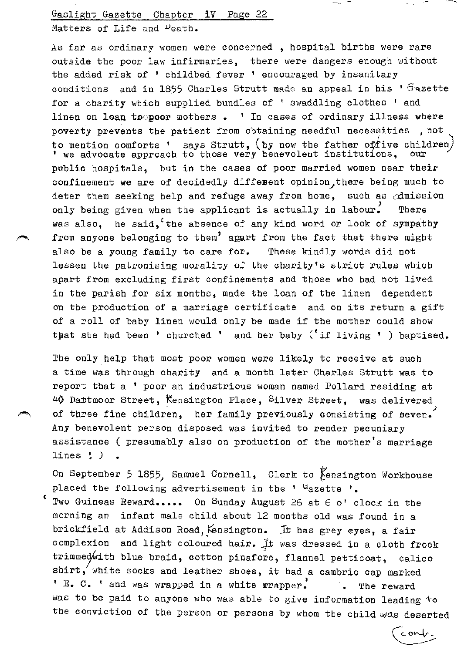Gaslight Gazette Chapter 1V Page 22 Matters of Life and <sup>D</sup>eath.

As far as ordinary women were concerned, hospital births were rare outside the poor law infirmaries, there were dangers enough without the added risk of ' childbed fever ' encouraged by insanitary conditions and in 1855 Charles Strutt made an appeal in his '  $G$ azette for a charity which supplied bundles of ' swaddling clothes ' and linen on loan to poor mothers.  $\blacksquare$  In cases of ordinary illness where poverty prevents the patient from obtaining needful necessities, not to mention comforts ' says Strutt, (by now the father of five children) ' we advocate approach to those very benevolent institutions, our public hospitals, but in the cases of poor married women near their confinement we are of decidedly different opinion, there being much to deter them seeking help and refuge away from home, such as  $\alpha$ dmission only being given when the applicant is actually in labour. There was also, he said, the absence of any kind word or look of sympathy from anyone belonging to them<sup>2</sup> apart from the fact that there might also be a young family to care for. These kindly words did not lessen the patronising morality of the charity's strict rules which apart from excluding first confinements and those who had not lived in the parish for six months, made the loan of the linen dependent on the production of a marriage certificate and on its return a gift of a roll of baby linen would only be made if the mother could show that she had been ' churched ' and her baby ('if living ' ) baptised.

The only help that most poor women were likely to receive at such a time was through charity and a month later Charles Strutt was to report that a ' poor an industrious woman named Pollard residing at 40 Dattmoor Street, Kensington Place, Silver Street, was delivered of three fine children, her family previously consisting of seven. Any benevolent person disposed was invited to render pecuniary assistance ( presumably also on production of the mother's marriage lines ~ *)* •

On September 5 1855, Samuel Cornell, Clerk to Kensington Workhouse placed the following advertisement in the  $'$  dazette  $'$ .

( Two Guineas Reward..... On Sunday August 26 at 6 o' clock in the morning ao infant male child about 12 months old was found in a brickfield at Addison Road, Kensington. It has grey eyes, a fair complexion and light coloured hair. It was dressed in a cloth frock trimmed/with blue braid, cotton pinafore, flannel petticoat, calico shirt, white socks and leather shoes, it had a cambric cap marked ' E. C. ' and was wrapped in a white wrapper. The reward was to be paid to anyone who was able to give information leading  $+$ o the conviction of the person or persons by whom the child was deserted

cont.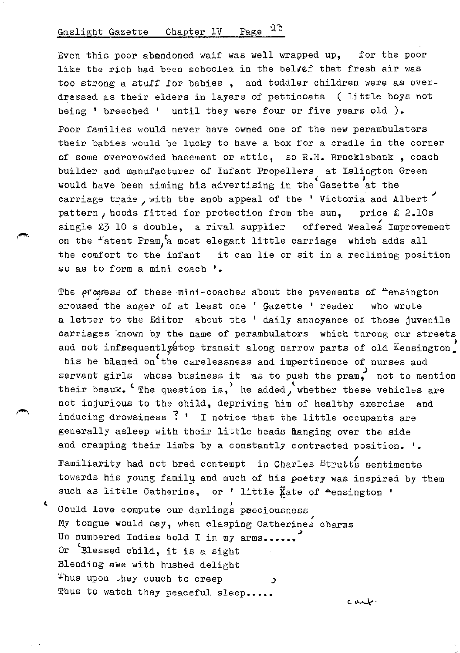Even this poor abandoned waif was well wrapped up, for the poor like the rich had been schooled in the belvef that fresh air was too strong a stuff for babies , and toddler children were as overdressad as their elders in layers of petticoats ( little boys not being ' breeched ' until they were four or five years old ).

Poor families would never have owned one of the new perambulators their babies would be lucky to have a box for a cradle in the corner of some overcrowded basement or attic, so R.H. Brocklebank , coach builder and manufacturer of Infant Propellers at Islington Green would have been aiming his advertising in the Gazette at the carriage trade, with the snob appeal of the ' Victoria and Albert pattern, hoods fitted for protection from the sun, price  $\hat{\bm{\epsilon}}$  2.10s single £3 10 s double, a rival supplier offered Weales Improvement on the  $r$  atent Pram,  $r$  most elegant little carriage which adds all the comfort to the infant it can lie or sit in a reclining position so as to form a mini coach '.

The progress of these mini-coaches about the pavements of "ensington aroused the anger of at least one  $'$   $G$ azette ' reader who wrote a letter to the Editor about the ' daily annoyance of those juvenile carriages known by the name of perambulators which throng our streets and not infrequentlystop transit along narrow parts of old Kensington his he blamed on'the carelessness and impertinence of nurses and servant girls whose business it ras to push the pram, not to mention their beaux.  $c$  The question is, he added, whether these vehicles are not injurious to the child, depriving him of healthy exercise and inducing drowsiness ? ' I notice that the little occupants are generally asleep with their little heads manging over the side and cramping their limbs by a constantly contracted position.  $\cdot$ .

Familiarity had not bred contempt in Charles Strutts sentiments towards his young family and much of his poetry was inspired by them such as little Catherine, or ' little  $\overline{k}$ ate of  $\triangle$ ensington '

c. Could love compute our darlings preciousness My tongue would say, when clasping Catherines charms Un numbered Indies hold I in my arms...... Or 'Blessed child, it is a sight Blending awe with hushed delight ~hus upon they couch to creep <sup>~</sup> Thus to watch they peaceful sleep.....

د مىلە-